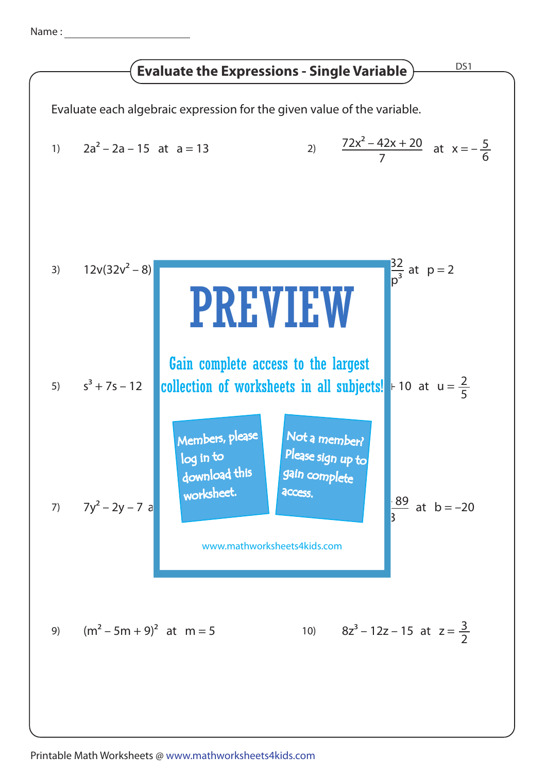Name :